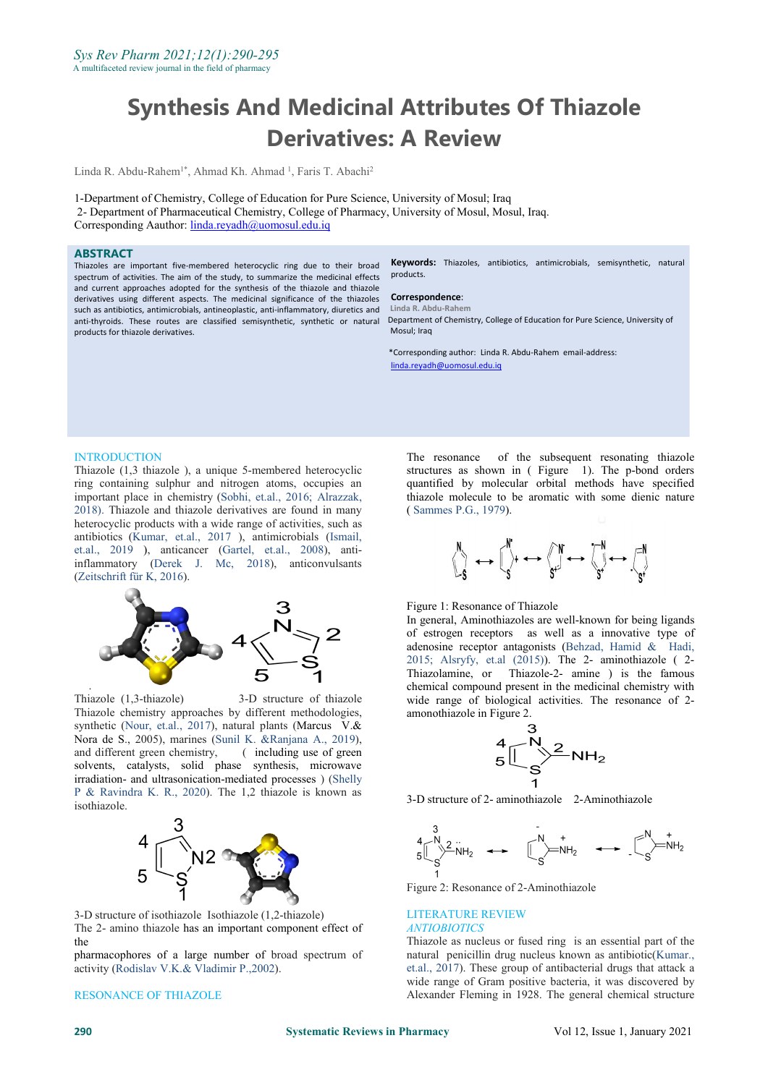# **Synthesis And Medicinal Attributes Of Thiazole Derivatives: A Review**

Linda R. Abdu-Rahem<sup>1\*</sup>, Ahmad Kh. Ahmad <sup>1</sup>, Faris T. Abachi<sup>2</sup>

1-Department of Chemistry, College of Education for Pure Science, University of Mosul; Iraq 2- Department of Pharmaceutical Chemistry, College of Pharmacy, University of Mosul, Mosul, Iraq. Corresponding Aauthor: [linda.reyadh@uomosul.edu.iq](mailto:linda.reyadh@uomosul.edu.iq)

# **ABSTRACT**

Thiazoles are important five-membered heterocyclic ring due to their broad spectrum of activities. The aim of the study, to summarize the medicinal effects and current approaches adopted for the synthesis of the thiazole and thiazole derivatives using different aspects. The medicinal significance of the thiazoles such as antibiotics, antimicrobials, antineoplastic, anti-inflammatory, diuretics and anti-thyroids. These routes are classified semisynthetic, synthetic or natural products for thiazole derivatives.

**Keywords:** Thiazoles, antibiotics, antimicrobials, semisynthetic, natural products.

#### **Correspondence**: **Linda R. Abdu-Rahem**

Department of Chemistry, College of Education for Pure Science, University of Mosul: Iraq

\*Corresponding author: Linda R. Abdu-Rahem email-address: linda.reyadh@uomosul.edu.iq

## **INTRODUCTION**

Thiazole (1,3 thiazole ), a unique 5-membered heterocyclic ring containing sulphur and nitrogen atoms, occupies an important place in chemistry (Sobhi, et.al., 2016; Alrazzak, 2018). Thiazole and thiazole derivatives are found in many heterocyclic products with a wide range of activities, such as antibiotics (Kumar, et.al., 2017 ), antimicrobials (Ismail, et.al., 2019 ), anticancer (Gartel, et.al., 2008), antiinflammatory (Derek J. Mc, 2018), anticonvulsants (Zeitschrift für K, 2016).



Thiazole (1,3-thiazole) 3-D structure of thiazole Thiazole chemistry approaches by different methodologies, synthetic (Nour, et.al., 2017), natural plants (Marcus V.& Nora de S., 2005), marines (Sunil K. &Ranjana A., 2019), and different green chemistry, ( including use of green solvents, catalysts, solid phase synthesis, microwave irradiation- and ultrasonication-mediated processes ) ([Shelly](javascript:;) P & [Ravindra](javascript:;) K. R., 2020). The 1,2 thiazole is known as isothiazole.



3-D structure of isothiazole Isothiazole (1,2-thiazole) The 2- amino thiazole has an important component effect of the

pharmacophores of a large number of broad spectrum of activity (Rodislav V.K.& Vladimir P.,2002).

RESONANCE OF THIAZOLE

The resonance of the subsequent resonating thiazole structures as shown in ( Figure 1). The p-bond orders quantified by molecular orbital methods have specified thiazole molecule to be aromatic with some dienic nature ( Sammes P.G., 1979).

$$
\begin{array}{ccc}\n\begin{matrix}\n\cdot & \cdot & \cdot \\
\cdot & \cdot & \cdot \\
\cdot & \cdot & \cdot\n\end{matrix}\n\end{array}
$$

Figure 1: Resonance of Thiazole

In general, Aminothiazoles are well-known for being ligands of estrogen receptors as well as a innovative type of adenosine receptor antagonists (Behzad, Hamid & Hadi, 2015; Alsryfy, et.al  $(2015)$ ). The 2- aminothiazole (2-Thiazolamine, or Thiazole-2- amine ) is the famous chemical compound present in the medicinal chemistry with wide range of biological activities. The resonance of 2 amonothiazole in Figure 2.



3-D structure of 2-aminothiazole 2-Aminothiazole



Figure 2: Resonance of 2-Aminothiazole

## LITERATURE REVIEW *ANTIOBIOTICS*

Thiazole as nucleus or fused ring is an essential part of the natural penicillin drug nucleus known as antibiotic(Kumar., et.al., 2017). These group of antibacterial drugs that attack a wide range of Gram positive bacteria, it was discovered by Alexander Fleming in 1928. The general chemical structure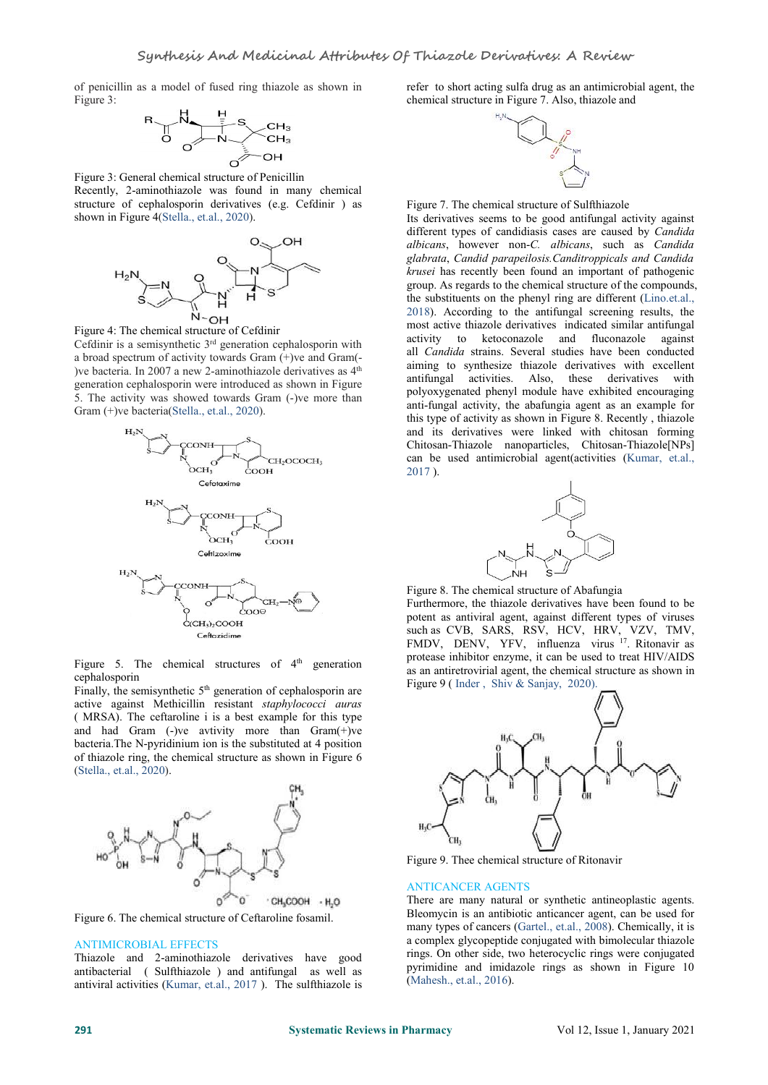of penicillin as a model of fused ring thiazole as shown in Figure 3:



Figure 3: General chemical structure of Penicillin Recently, 2-aminothiazole was found in many chemical structure of cephalosporin derivatives (e.g. Cefdinir ) as shown in Figure 4(Stella., et.al., 2020).



Figure 4: The chemical structure of Cefdinir Cefdinir is a semisynthetic  $3<sup>rd</sup>$  generation cephalosporin with  $\frac{11}{2}$  C  $\frac{11}{2}$ a broad spectrum of activity towards Gram (+)ve and Gram(- )ve bacteria. In 2007 a new 2-aminothiazole derivatives as 4<sup>th</sup> generation cephalosporin were introduced as shown in Figure 5. The activity was showed towards Gram (-)ve more than Gram (+)ve bacteria(Stella., et.al., 2020).



Figure 5. The chemical structures of  $4<sup>th</sup>$  generation protests mind cephalosporin

Finally, the semisynthetic  $5<sup>th</sup>$  generation of cephalosporin are active against Methicillin resistant*staphylococci auras* ( MRSA). The ceftaroline i is a best example for this type and had Gram (-)ve avtivity more than Gram(+)ve bacteria.The N-pyridinium ion is the substituted at 4 position of thiazole ring, the chemical structure as shown in Figure 6 (Stella., et.al., 2020).



Figure 6. The chemical structure of Ceftaroline fosamil.

## ANTIMICROBIAL EFFECTS

Thiazole and 2-aminothiazole derivatives have good antibacterial ( Sulfthiazole ) and antifungal as well as antiviral activities (Kumar, et.al., 2017 ). The sulfthiazole is refer to short acting sulfa drug as an antimicrobial agent, the chemical structure in Figure 7. Also, thiazole and



Figure 7. The chemical structure of Sulfthiazole

 $t<sub>th</sub>$  aiming to synthesize thiazole derivatives with excellent Its derivatives seems to be good antifungal activity against different types of candidiasis cases are caused by *Candida albicans*, however non-*C. albicans*, such as *Candida glabrata*, *Candid parapeilosis.Canditroppicals and Candida krusei* has recently been found an important of pathogenic group. As regards to the chemical structure of the compounds, the substituents on the phenyl ring are different (Lino.et.al., 2018). According to the antifungal screening results, the most active thiazole derivatives indicated similar antifungal activity to ketoconazole and fluconazole against all *Candida* strains. Several studies have been conducted antifungal activities. Also, these derivatives with polyoxygenated phenyl module have exhibited encouraging anti-fungal activity, the abafungia agent as an example for this type of activity as shown in Figure 8. Recently , thiazole and its derivatives were linked with chitosan forming Chitosan-Thiazole nanoparticles, Chitosan-Thiazole[NPs] can be used antimicrobial agent(activities (Kumar, et.al., 2017 ).



Figure 8. The chemical structure of Abafungia

Furthermore, the thiazole derivatives have been found to be potent as antiviral agent, against different types of viruses such as CVB, SARS, RSV, HCV, HRV, VZV, TMV, FMDV, DENV, YFV, influenza virus 17 . Ritonavir as protease inhibitor enzyme, it can be used to treat HIV/AIDS as an antiretrovirial agent, the chemical structure as shown in Figure 9 ( [Inder](javascript:ShowAffiliation() , [Shiv](javascript:ShowAffiliation() & [Sanjay,](javascript:ShowAffiliation() [2020\).](javascript:ShowAffiliation()



Figure 9. Thee chemical structure of Ritonavir

#### ANTICANCER AGENTS

There are many natural or synthetic antineoplastic agents. Bleomycin is an antibiotic anticancer agent, can be used for many types of cancers (Gartel., et.al., 2008). Chemically, it is a complex glycopeptide conjugated with bimolecular thiazole rings. On other side, two heterocyclic rings were conjugated pyrimidine and imidazole rings as shown in Figure 10 (Mahesh., et.al., 2016).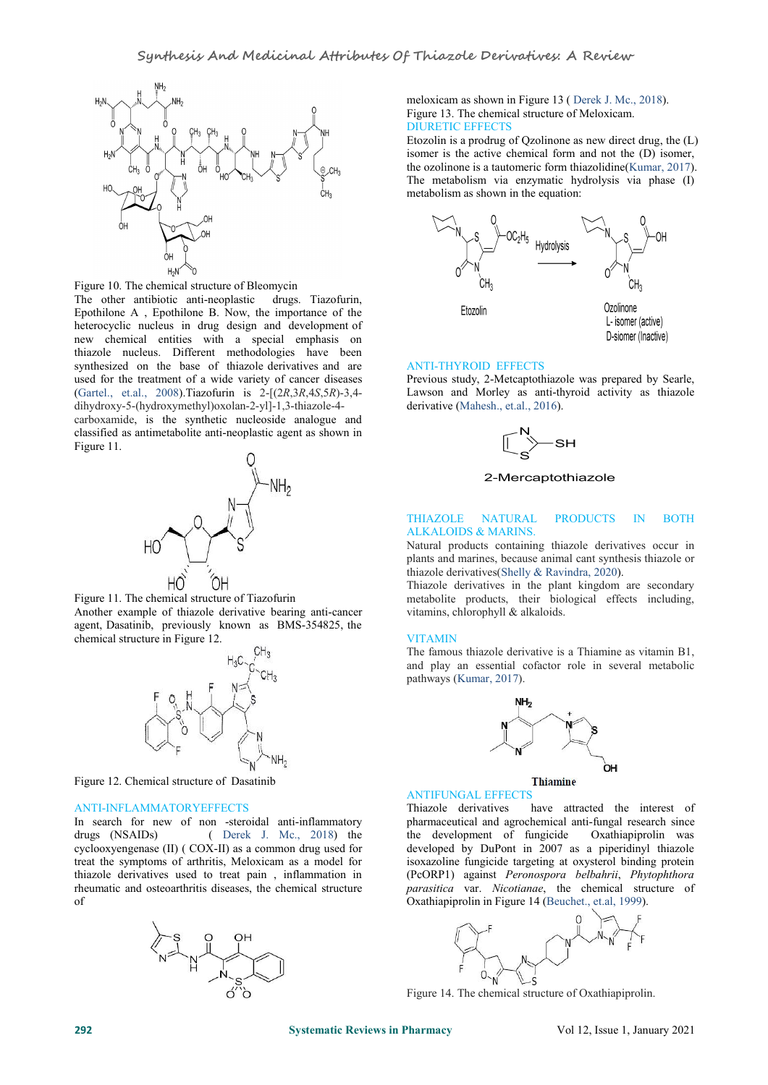

Figure 10. The chemical structure of Bleomycin

The other antibiotic anti-neoplastic drugs. Tiazofurin, Epothilone A , Epothilone B. Now, the importance of the heterocyclic nucleus in drug design and development of new chemical entities with a special emphasis on thiazole nucleus. Different methodologies have been synthesized on the base of thiazole derivatives and are used for the treatment of a wide variety of cancer diseases (Gartel., et.al., 2008).Tiazofurin is 2-[(2*R*,3*R*,4*S*,5*R*)-3,4 dihydroxy-5-(hydroxymethyl)oxolan-2-yl]-1,3-thiazole-4-

carboxamide, is the synthetic nucleoside analogue and classified as antimetabolite anti-neoplastic agent as shown in Figure 11.



Figure 11. The chemical structure of Tiazofurin Another example of thiazole derivative bearing anti-cancer agent, Dasatinib, previously known as BMS-354825, the chemical structure in Figure 12.



Figure 12. Chemical structure of Dasatinib

# ANTI-INFLAMMATORYEFFECTS

In search for new of non -steroidal anti-inflammatory drugs (NSAIDs) ( Derek J. Mc., 2018) the cyclooxyengenase (II) ( COX-II) as a common drug used for treat the symptoms of arthritis, Meloxicam as a model for thiazole derivatives used to treat pain , inflammation in rheumatic and osteoarthritis diseases, the chemical structure of



meloxicam as shown in Figure 13 ( Derek J. Mc., 2018). Figure 13. The chemical structure of Meloxicam. DIURETIC EFFECTS

Etozolin is a prodrug of Qzolinone as new direct drug, the (L) isomer is the active chemical form and not the (D) isomer, the ozolinone is a tautomeric form thiazolidine(Kumar, 2017). The metabolism via enzymatic hydrolysis via phase (I) metabolism as shown in the equation:



## ANTI-THYROID EFFECTS

Previous study, 2-Metcaptothiazole was prepared by Searle, Lawson and Morley as anti-thyroid activity as thiazole derivative (Mahesh., et.al., 2016).



# 2-Mercaptothiazole

#### THIAZOLE NATURAL PRODUCTS IN BOTH ALKALOIDS & MARINS.

Natural products containing thiazole derivatives occur in plants and marines, because animal cant synthesis thiazole or thiazole derivatives(Shelly & Ravindra, 2020).

Thiazole derivatives in the plant kingdom are secondary metabolite products, their biological effects including, vitamins, chlorophyll & alkaloids.

### VITAMIN

The famous thiazole derivative is a Thiamine as vitamin B1, and play an essential cofactor role in several metabolic pathways (Kumar, 2017).



# ANTIFUNGAL EFFECTS

Thiazole derivatives have attracted the interest of pharmaceutical and agrochemical anti-fungal research since the development of fungicide Oxathiapiprolin was developed by DuPont in 2007 as a piperidinyl thiazole isoxazoline fungicide targeting at oxysterol binding protein (PcORP1) against *Peronospora belbahrii*, *Phytophthora parasitica* var. *Nicotianae*, the chemical structure of Oxathiapiprolin in Figure 14 (Beuchet., et.al, 1999).



Figure 14. The chemical structure of Oxathiapiprolin.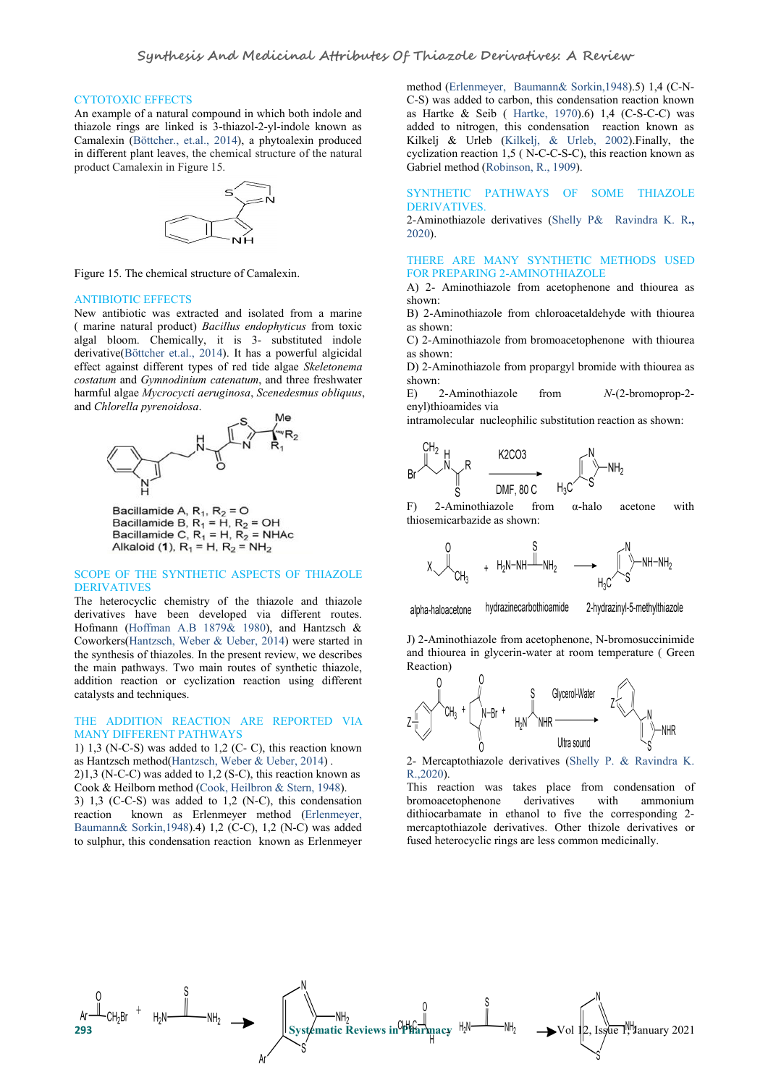#### CYTOTOXIC EFFECTS

An example of a natural compound in which both indole and thiazole rings are linked is 3-thiazol-2-yl-indole known as Camalexin (Böttcher., et.al., 2014), a phytoalexin produced in different plant leaves, the chemical structure of the natural product Camalexin in Figure 15.



Figure 15. The chemical structure of Camalexin.

#### ANTIBIOTIC EFFECTS

New antibiotic was extracted and isolated from a marine ( marine natural product) *Bacillus endophyticus* from toxic algal bloom. Chemically, it is 3- substituted indole derivative(Böttcher et.al., 2014). It has a powerful algicidal effect against different types of red tide algae *Skeletonema costatum* and *Gymnodinium catenatum*, and three freshwater harmful algae *Mycrocycti aeruginosa*, *Scenedesmus obliquus*, and *Chlorella pyrenoidosa*.



Bacillamide A,  $R_1$ ,  $R_2$  = O Bacillamide B,  $R_1 = H$ ,  $R_2 = OH$ <br>Bacillamide C,  $R_1 = H$ ,  $R_2 = NHAC$ Alkaloid (1),  $R_1 = H$ ,  $R_2 = NH_2$ 

# SCOPE OF THE SYNTHETIC ASPECTS OF THIAZOLE DERIVATIVES

The heterocyclic chemistry of the thiazole and thiazole and alpha-haloacetone derivatives have been developed via different routes. Hofmann (Hoffman A.B 1879& 1980), and Hantzsch & Coworkers(Hantzsch, Weber & Ueber, 2014) were started in the synthesis of thiazoles. In the present review, we describes the main pathways. Two main routes of synthetic thiazole, addition reaction or cyclization reaction using different catalysts and techniques.

# THE ADDITION REACTION ARE REPORTED VIA MANY DIFFERENT PATHWAYS

1) 1,3 (N-C-S) was added to 1,2 (C-C), this reaction known as Hantzsch method(Hantzsch, Weber & Ueber, 2014) . 2)1,3 (N-C-C) was added to 1,2 (S-C), this reaction known as

Cook & Heilborn method (Cook, Heilbron & Stern, 1948). 3) 1,3 (C-C-S) was added to 1,2 (N-C), this condensation reaction known as Erlenmeyer method (Erlenmeyer, Baumann& Sorkin,1948).4) 1,2 (C-C), 1,2 (N-C) was added to sulphur, this condensation reaction known as Erlenmeyer

method (Erlenmeyer, Baumann& Sorkin,1948).5) 1,4 (C-N- C-S) was added to carbon, this condensation reaction known as Hartke & Seib ( [Hartke,](https://pubmed.ncbi.nlm.nih.gov/?term=Hartke+K&cauthor_id=5486676) 1970).6) 1,4 (C-S-C-C) was added to nitrogen, this condensation reaction known as Kilkelj & Urleb (Kilkelj, & Urleb, 2002).Finally, the cyclization reaction 1,5 ( N-C-C-S-C), this reaction known as Gabriel method (Robinson, R., 1909).

# SYNTHETIC PATHWAYS OF SOME THIAZOLE DERIVATIVES.

2-Aminothiazole derivatives (Shelly P& Ravindra K. R**.,** 2020).

# THERE ARE MANY SYNTHETIC METHODS USED FOR PREPARING 2-AMINOTHIAZOLE

A) 2- Aminothiazole from acetophenone and thiourea as shown:

B) 2-Aminothiazole from chloroacetaldehyde with thiourea as shown:

C) 2-Aminothiazole from bromoacetophenone with thiourea as shown:

D) 2-Aminothiazole from propargyl bromide with thiourea as shown:

E) 2-Aminothiazole from *N*-(2-bromoprop-2 enyl) thioamides via<br>intramolecular nucleophilic substitution reaction as shown:



thiosemicarbazide as shown:

$$
\begin{matrix}&&S\\ &\swarrow\\ &\swarrow\\ &\swarrow\\ &\swarrow\end{matrix}_{CH_3} \quad\quad H_2N-NH\overset{\text{S}}{\xrightarrow{~~}}\begin{matrix}N\\ &\swarrow\\ &\swarrow\\ &\swarrow\\ &\swarrow\end{matrix}_{H_3C}\overset{\text{N}}{\xrightarrow{~~}}\begin{matrix}N\\ &\swarrow\\ &\swarrow\\ &\swarrow\end{matrix}_{NH-NH_2}
$$

hydrazinecarbothioamide

2-hydrazinyl-5-methylthiazole

J) 2-Aminothiazole from acetophenone, N-bromosuccinimide and thiourea in glycerin-water at room temperature (Green Reaction)



2- Mercaptothiazole derivatives (Shelly P. & Ravindra K. R.,2020).

This reaction was takes place from condensation of bromoacetophenone derivatives with ammonium dithiocarbamate in ethanol to five the corresponding 2 mercaptothiazole derivatives. Other thizole derivatives or fused heterocyclic rings are less common medicinally.

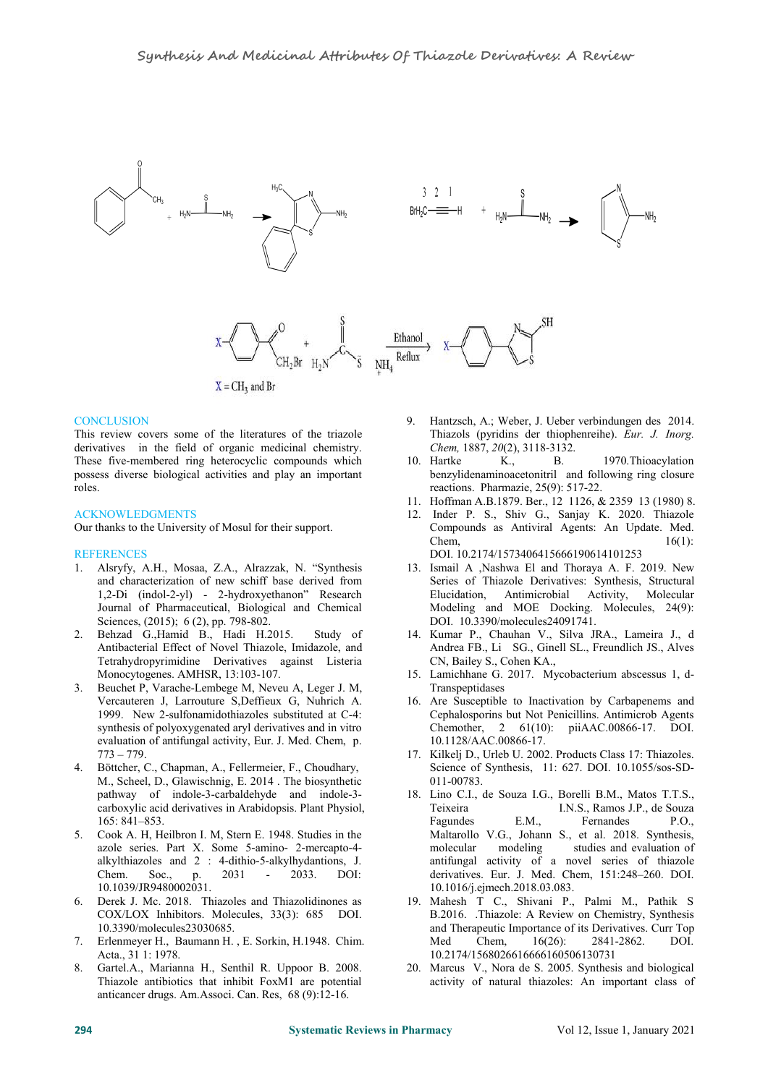

# **CONCLUSION**

This review covers some of the literatures of the triazole derivatives in the field of organic medicinal chemistry. These five-membered ring heterocyclic compounds which 10. Hartke possess diverse biological activities and play an important roles.

# ACKNOWLEDGMENTS

Our thanks to the University of Mosul for their support.

## **REFERENCES**

- 1. Alsryfy, A.H., Mosaa, Z.A., Alrazzak, N. "Synthesis and characterization of new schiff base derived from 1,2-Di (indol-2-yl) - 2-hydroxyethanon" Research Journal of Pharmaceutical, Biological and Chemical Sciences, (2015); 6 (2), pp. 798-802.
- 2. Behzad G.,Hamid B., Hadi H.2015. Study of Antibacterial Effect of Novel Thiazole, Imidazole, and Tetrahydropyrimidine Derivatives against Listeria Monocytogenes. AMHSR, 13:103-107.
- 3. Beuchet P, Varache-Lembege M, Neveu A, Leger J. M, Vercauteren J, Larrouture S,Deffieux G, Nuhrich A. 1999. New 2-sulfonamidothiazoles substituted at C-4: synthesis of polyoxygenated aryl derivatives and in vitro evaluation of antifungal activity, Eur. J. Med. Chem, p. 773 – 779.
- 4. Böttcher, C., Chapman, A., Fellermeier, F., Choudhary, M., Scheel, D., Glawischnig, E. 2014 . The biosynthetic pathway of indole-3-carbaldehyde and indole-3 carboxylic acid derivatives in Arabidopsis. Plant Physiol, 165: 841–853.
- 5. Cook A. H, Heilbron I. M, Stern E. 1948. Studies in the azole series. Part X. Some 5-amino- 2-mercapto-4 alkylthiazoles and 2 : 4-dithio-5-alkylhydantions, J. Chem. Soc., p. 2031 - 2033. DOI: 10.1039/JR9480002031.
- 6. Derek J. Mc. 2018. Thiazoles and Thiazolidinones as COX/LOX Inhibitors. Molecules, 33(3): 685 DOI. [10.3390/molecules23030685.](https://dx.doi.org/10.3390%2Fmolecules23030685)
- 7. Erlenmeyer H., Baumann H. , E. Sorkin, H.1948. Chim. Acta., 31 1: 1978.
- 8. Gartel.A., Marianna H., Senthil R. Uppoor B. 2008. Thiazole antibiotics that inhibit FoxM1 are potential anticancer drugs. Am.Associ. Can. Res, 68 (9):12-16.
- 9. Hantzsch, A.; Weber, J. Ueber verbindungen des 2014. Thiazols (pyridins der thiophenreihe). *Eur. J. Inorg. Chem,* 1887, *20*(2), 3118-3132.
- B. 1970. Thioacylation benzylidenaminoacetonitril and following ring closure reactions. Pharmazie, 25(9): 517-22.
- 11. Hoffman A.B.1879. Ber., 12 1126, & 2359 13 (1980) 8.
- 12. [Inder](javascript:ShowAffiliation() P. S., [Shiv](javascript:ShowAffiliation() G., [Sanjay](javascript:ShowAffiliation() K. 2020. Thiazole Compounds as Antiviral Agents: An Update. Med.  $\ell$ hem,  $16(1)$ : DOI. [10.2174/1573406415666190614101253](https://doi.org/10.2174/1573406415666190614101253)
- 13. Ismail A ,Nashwa El and Thoraya A. F. 2019. New Series of Thiazole Derivatives: Synthesis, Structural Antimicrobial Activity, Molecular Modeling and MOE Docking. Molecules, 24(9): DOI. [10.3390/molecules24091741](https://dx.doi.org/10.3390%2Fmolecules24091741).
- 14. Kumar P., Chauhan V., Silva JRA., Lameira J., d Andrea FB., Li SG., Ginell SL., Freundlich JS., Alves CN, Bailey S., Cohen KA.,
- 15. Lamichhane G. 2017. Mycobacterium abscessus 1, d- Transpeptidases
- 16. Are Susceptible to Inactivation by Carbapenems and Cephalosporins but Not Penicillins. Antimicrob Agents Chemother, 2 61(10): piiAAC.00866-17. DOI. 10.1128/AAC.00866-17.
- 17. Kilkelj D., Urleb U. 2002. Products Class 17: Thiazoles. Science of Synthesis, 11: 627. DOI. 10.1055/sos-SD- 011-00783.
- 18. Lino C.I., de Souza I.G., Borelli B.M., Matos T.T.S., Teixeira I.N.S., Ramos J.P., de Souza Fagundes E.M., Fernandes P.O., Maltarollo V.G., Johann S., et al. 2018. Synthesis, modeling studies and evaluation of antifungal activity of a novel series of thiazole derivatives. Eur. J. Med. Chem, 151:248–260. DOI. 10.1016/j.ejmech.2018.03.083.
- 19. [Mahesh](https://pubmed.ncbi.nlm.nih.gov/?term=Chhabria+MT&cauthor_id=27150376) T C., [Shivani](https://pubmed.ncbi.nlm.nih.gov/?term=Patel+S&cauthor_id=27150376) P., [Palmi](https://pubmed.ncbi.nlm.nih.gov/?term=Modi+P&cauthor_id=27150376) M., [Pathik](https://pubmed.ncbi.nlm.nih.gov/?term=Brahmkshatriya+PS&cauthor_id=27150376) S B.2016. .Thiazole: A Review on Chemistry, Synthesis and Therapeutic Importance of its Derivatives. Curr Top<br>Med Chem. 16(26): 2841-2862. DOI. Med Chem, 16(26): 2841-2862. DOI. 10.2174/1568026616666160506130731
- 20. Marcus V., Nora de S. 2005. Synthesis and biological activity of natural thiazoles: An important class of